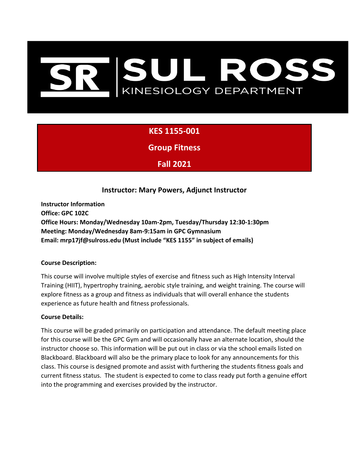# SUL ROSS<br>KINESIOLOGY DEPARTMENT

# **KES 1155-001**

**Group Fitness**

**Fall 2021**

## **Instructor: Mary Powers, Adjunct Instructor**

**Instructor Information Office: GPC 102C Office Hours: Monday/Wednesday 10am-2pm, Tuesday/Thursday 12:30-1:30pm Meeting: Monday/Wednesday 8am-9:15am in GPC Gymnasium Email: mrp17jf@sulross.edu (Must include "KES 1155" in subject of emails)**

#### **Course Description:**

This course will involve multiple styles of exercise and fitness such as High Intensity Interval Training (HIIT), hypertrophy training, aerobic style training, and weight training. The course will explore fitness as a group and fitness as individuals that will overall enhance the students experience as future health and fitness professionals.

#### **Course Details:**

This course will be graded primarily on participation and attendance. The default meeting place for this course will be the GPC Gym and will occasionally have an alternate location, should the instructor choose so. This information will be put out in class or via the school emails listed on Blackboard. Blackboard will also be the primary place to look for any announcements for this class. This course is designed promote and assist with furthering the students fitness goals and current fitness status. The student is expected to come to class ready put forth a genuine effort into the programming and exercises provided by the instructor.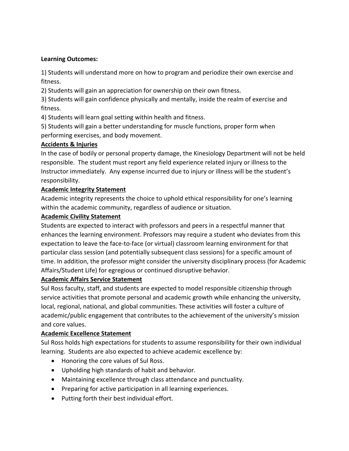#### **Learning Outcomes:**

1) Students will understand more on how to program and periodize their own exercise and fitness.

2) Students will gain an appreciation for ownership on their own fitness.

3) Students will gain confidence physically and mentally, inside the realm of exercise and fitness.

4) Students will learn goal setting within health and fitness.

5) Students will gain a better understanding for muscle functions, proper form when performing exercises, and body movement.

#### **Accidents & Injuries**

In the case of bodily or personal property damage, the Kinesiology Department will not be held responsible. The student must report any field experience related injury or illness to the Instructor immediately. Any expense incurred due to injury or illness will be the student's responsibility.

#### **Academic Integrity Statement**

Academic integrity represents the choice to uphold ethical responsibility for one's learning within the academic community, regardless of audience or situation.

#### **Academic Civility Statement**

Students are expected to interact with professors and peers in a respectful manner that enhances the learning environment. Professors may require a student who deviates from this expectation to leave the face-to-face (or virtual) classroom learning environment for that particular class session (and potentially subsequent class sessions) for a specific amount of time. In addition, the professor might consider the university disciplinary process (for Academic Affairs/Student Life) for egregious or continued disruptive behavior.

#### **Academic Affairs Service Statement**

Sul Ross faculty, staff, and students are expected to model responsible citizenship through service activities that promote personal and academic growth while enhancing the university, local, regional, national, and global communities. These activities will foster a culture of academic/public engagement that contributes to the achievement of the university's mission and core values.

### **Academic Excellence Statement**

Sul Ross holds high expectations for students to assume responsibility for their own individual learning. Students are also expected to achieve academic excellence by:

- Honoring the core values of Sul Ross.
- Upholding high standards of habit and behavior.
- Maintaining excellence through class attendance and punctuality.
- Preparing for active participation in all learning experiences.
- Putting forth their best individual effort.